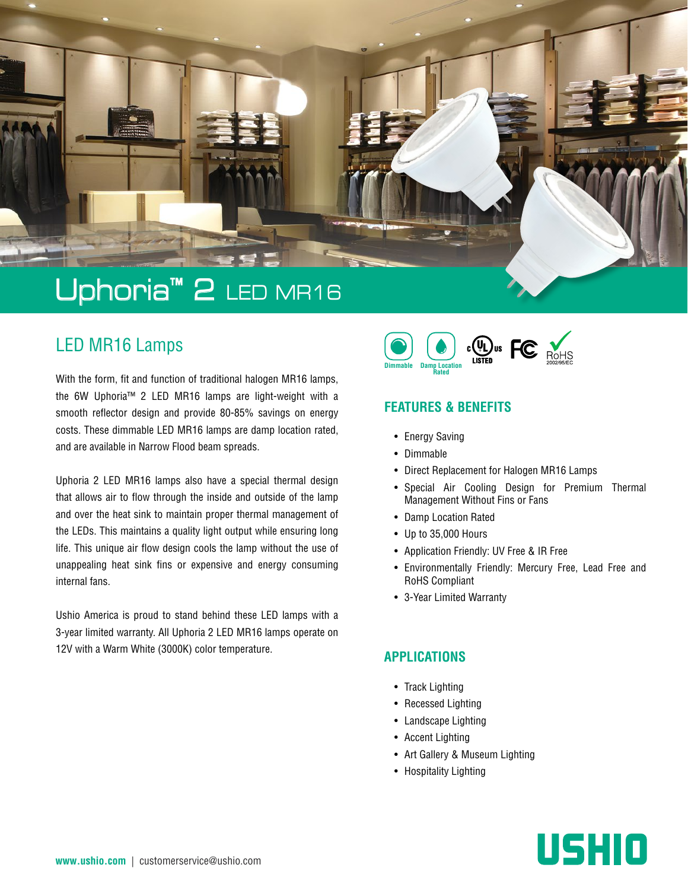

## LED MR16 Lamps

With the form, fit and function of traditional halogen MR16 lamps, the 6W Uphoria™ 2 LED MR16 lamps are light-weight with a smooth reflector design and provide 80-85% savings on energy costs. These dimmable LED MR16 lamps are damp location rated, and are available in Narrow Flood beam spreads.

Uphoria 2 LED MR16 lamps also have a special thermal design that allows air to flow through the inside and outside of the lamp and over the heat sink to maintain proper thermal management of the LEDs. This maintains a quality light output while ensuring long life. This unique air flow design cools the lamp without the use of unappealing heat sink fins or expensive and energy consuming internal fans.

Ushio America is proud to stand behind these LED lamps with a 3-year limited warranty. All Uphoria 2 LED MR16 lamps operate on 12V with a Warm White (3000K) color temperature.



#### **FEATURES & BENEFITS**

- Energy Saving
- Dimmable
- Direct Replacement for Halogen MR16 Lamps
- Special Air Cooling Design for Premium Thermal Management Without Fins or Fans
- Damp Location Rated
- Up to 35,000 Hours
- Application Friendly: UV Free & IR Free
- Environmentally Friendly: Mercury Free, Lead Free and RoHS Compliant
- 3-Year Limited Warranty

#### **APPLICATIONS**

- Track Lighting
- Recessed Lighting
- Landscape Lighting
- Accent Lighting
- Art Gallery & Museum Lighting
- Hospitality Lighting